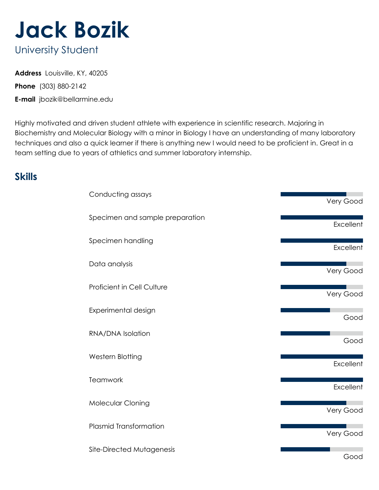

# **Address** Louisville, KY, 40205

**Phone** (303) 880-2142

**E-mail** jbozik@bellarmine.edu

Highly motivated and driven student athlete with experience in scientific research. Majoring in Biochemistry and Molecular Biology with a minor in Biology I have an understanding of many laboratory techniques and also a quick learner if there is anything new I would need to be proficient in. Great in a team setting due to years of athletics and summer laboratory internship.

# **Skills**

| Conducting assays                 | Very Good |
|-----------------------------------|-----------|
| Specimen and sample preparation   | Excellent |
| Specimen handling                 | Excellent |
| Data analysis                     |           |
| <b>Proficient in Cell Culture</b> | Very Good |
| Experimental design               | Very Good |
| RNA/DNA Isolation                 | Good      |
| Western Blotting                  | Good      |
|                                   | Excellent |
| Teamwork                          | Excellent |
| Molecular Cloning                 | Very Good |
| <b>Plasmid Transformation</b>     | Very Good |
| Site-Directed Mutagenesis         | Good      |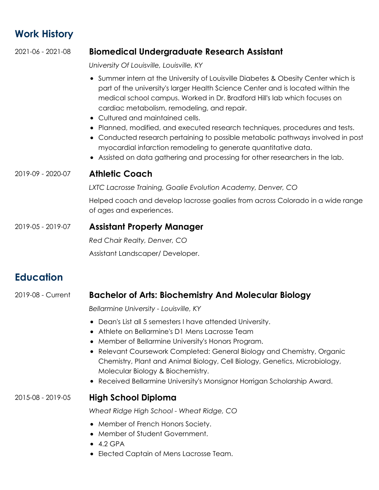## **Work History**

#### 2021-06 - 2021-08 **Biomedical Undergraduate Research Assistant**

*University Of Louisville, Louisville, KY*

- Summer intern at the University of Louisville Diabetes & Obesity Center which is part of the university's larger Health Science Center and is located within the medical school campus. Worked in Dr. Bradford Hill's lab which focuses on cardiac metabolism, remodeling, and repair.
- Cultured and maintained cells.
- Planned, modified, and executed research techniques, procedures and tests.
- Conducted research pertaining to possible metabolic pathways involved in post myocardial infarction remodeling to generate quantitative data.
- Assisted on data gathering and processing for other researchers in the lab.

#### 2019-09 - 2020-07 **Athletic Coach**

*LXTC Lacrosse Training, Goalie Evolution Academy, Denver, CO*

Helped coach and develop lacrosse goalies from across Colorado in a wide range of ages and experiences.

#### 2019-05 - 2019-07 **Assistant Property Manager**

*Red Chair Realty, Denver, CO*

Assistant Landscaper/ Developer.

### **Education**

#### 2019-08 - Current **Bachelor of Arts: Biochemistry And Molecular Biology**

*Bellarmine University - Louisville, KY*

- Dean's List all 5 semesters I have attended University.
- Athlete on Bellarmine's D1 Mens Lacrosse Team
- Member of Bellarmine University's Honors Program.
- Relevant Coursework Completed: General Biology and Chemistry, Organic Chemistry, Plant and Animal Biology, Cell Biology, Genetics, Microbiology, Molecular Biology & Biochemistry.
- Received Bellarmine University's Monsignor Horrigan Scholarship Award.

#### 2015-08 - 2019-05 **High School Diploma**

*Wheat Ridge High School - Wheat Ridge, CO*

- Member of French Honors Society.
- Member of Student Government.
- $-4.2$  GPA
- Elected Captain of Mens Lacrosse Team.